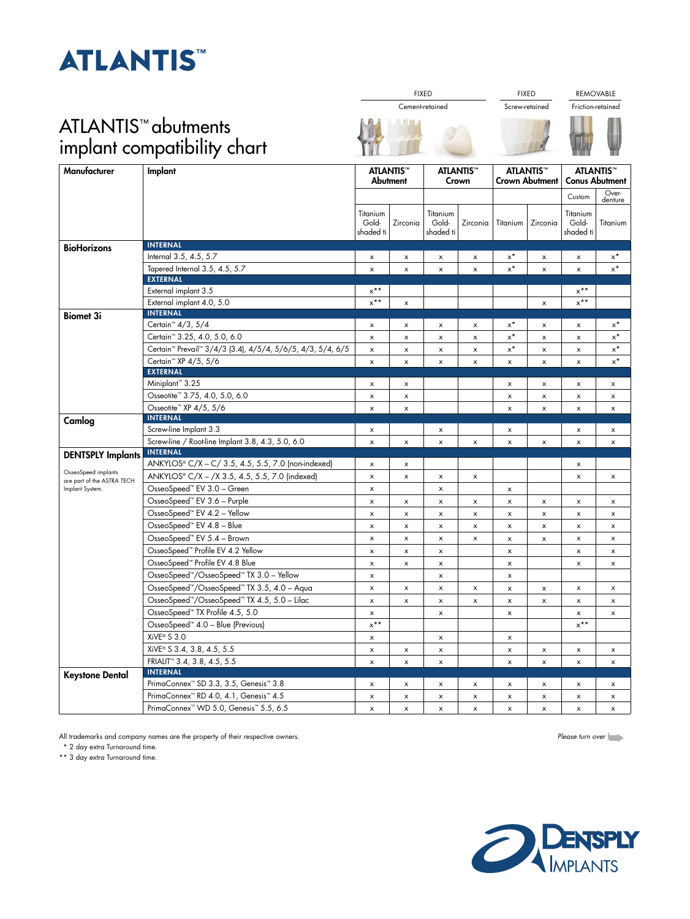## **ATLANTIST**

## ATLANTIS™ abutments implant compatibility chart

| Manufacturer                                                         | Implant                                                                            | <b>ATLANTIS™</b><br>Abutment   |                | <b>ATLANTIS™</b><br>Crown      |                | <b>ATLANTIS™</b><br><b>Crown Abutment</b> |                           | <b>ATLANTIS</b> <sup>™</sup><br><b>Conus Abutment</b> |                      |
|----------------------------------------------------------------------|------------------------------------------------------------------------------------|--------------------------------|----------------|--------------------------------|----------------|-------------------------------------------|---------------------------|-------------------------------------------------------|----------------------|
|                                                                      |                                                                                    |                                |                |                                |                |                                           |                           | Custom                                                | Over-<br>denture     |
|                                                                      |                                                                                    | Titanium<br>Gold-<br>shaded ti | Zirconia       | Titanium<br>Gold-<br>shaded ti | Zirconia       | Titanium                                  | Zirconia                  | Titanium<br>Gold-<br>shaded ti                        | Titanium             |
| <b>BioHorizons</b>                                                   | <b>INTERNAL</b>                                                                    |                                |                |                                |                |                                           |                           |                                                       |                      |
|                                                                      | Internal 3.5, 4.5, 5.7                                                             | x                              | $\pmb{\times}$ | x                              | $\pmb{\times}$ | $x^*$                                     | x                         | $\boldsymbol{\mathsf{x}}$                             | $x^{\star}$          |
|                                                                      | Tapered Internal 3.5, 4.5, 5.7                                                     | $\pmb{\times}$                 | $\pmb{\times}$ | x                              | $\pmb{\times}$ | $\mathsf{x}^{\star}$                      | $\boldsymbol{\mathsf{x}}$ | $\boldsymbol{\mathsf{x}}$                             | $\mathsf{x}^{\star}$ |
|                                                                      | <b>EXTERNAL</b>                                                                    |                                |                |                                |                |                                           |                           |                                                       |                      |
|                                                                      | External implant 3.5                                                               | $x^{\star\star}$               |                |                                |                |                                           |                           | $x^{\star\star}$                                      |                      |
|                                                                      | External implant 4.0, 5.0<br><b>INTERNAL</b>                                       | $x^{\star\star}$               | x              |                                |                |                                           | x                         | $x^{\star\star}$                                      |                      |
| <b>Biomet 3i</b>                                                     | Certain <sup>™</sup> 4/3, 5/4                                                      | x                              | $\pmb{\times}$ | x                              | x              | x*                                        | x                         | x                                                     | $x^{\star}$          |
|                                                                      | Certain <sup>™</sup> 3.25, 4.0, 5.0, 6.0                                           | $\boldsymbol{\mathsf{x}}$      |                |                                |                | $x^*$                                     |                           |                                                       | $x^*$                |
|                                                                      | Certain <sup>™</sup> Prevail <sup>™</sup> 3/4/3 (3.4), 4/5/4, 5/6/5, 4/3, 5/4, 6/5 |                                | x              | x                              | $\pmb{\times}$ | $x^*$                                     | x                         | $\boldsymbol{\mathsf{x}}$                             | $\mathsf{x}^{\star}$ |
|                                                                      |                                                                                    | x                              | x              | x                              | x              |                                           | x                         | x                                                     | $x^*$                |
|                                                                      | Certain™ XP 4/5, 5/6<br><b>EXTERNAL</b>                                            | x                              | x              | x                              | x              | x                                         | x                         | x                                                     |                      |
|                                                                      | Miniplant <sup>™</sup> 3.25                                                        | x                              | x              |                                |                | x                                         | x                         | x                                                     | x                    |
|                                                                      | Osseotite <sup>™</sup> 3.75, 4.0, 5.0, 6.0                                         | x                              | $\pmb{\times}$ |                                |                | x                                         | $\pmb{\times}$            | $\pmb{\times}$                                        | $\pmb{\times}$       |
|                                                                      | Osseotite <sup>™</sup> XP 4/5, 5/6                                                 | x                              | x              |                                |                | x                                         | x                         | x                                                     | x                    |
| Camlog                                                               | <b>INTERNAL</b>                                                                    |                                |                |                                |                |                                           |                           |                                                       |                      |
|                                                                      | Screw-line Implant 3.3                                                             | x                              |                | x                              |                | x                                         |                           | x                                                     | x                    |
|                                                                      | Screw-line / Root-line Implant 3.8, 4.3, 5.0, 6.0                                  | x                              | x              | $\pmb{\times}$                 | x              | x                                         | x                         | x                                                     | $\pmb{\times}$       |
| <b>DENTSPLY Implants</b>                                             | <b>INTERNAL</b>                                                                    |                                |                |                                |                |                                           |                           |                                                       |                      |
|                                                                      | ANKYLOS® C/X - C/ 3.5, 4.5, 5.5, 7.0 (non-indexed)                                 | x                              | x              |                                |                |                                           |                           | x                                                     |                      |
| OsseoSpeed implants<br>are part of the ASTRA TECH<br>Implant System. | ANKYLOS® C/X - /X 3.5, 4.5, 5.5, 7.0 (indexed)                                     | $\pmb{\times}$                 | $\pmb{\times}$ | x                              | $\pmb{\times}$ |                                           |                           | $\boldsymbol{\mathsf{x}}$                             | $\pmb{\times}$       |
|                                                                      | OsseoSpeed <sup>™</sup> EV 3.0 - Green                                             | x                              |                | x                              |                | x                                         |                           |                                                       |                      |
|                                                                      | OsseoSpeed <sup>74</sup> EV 3.6 - Purple                                           | x                              | x              | x                              | x              | x                                         | x                         | x                                                     | x                    |
|                                                                      | OsseoSpeed™ EV 4.2 - Yellow                                                        | x                              | x              | x                              | x              | x                                         | x                         | x                                                     | x                    |
|                                                                      | OsseoSpeed <sup>™</sup> EV 4.8 - Blue                                              | x                              | x              | x                              | $\pmb{\times}$ | x                                         | $\pmb{\times}$            | $\boldsymbol{\mathsf{x}}$                             | $\pmb{\times}$       |
|                                                                      | OsseoSpeed™ EV 5.4 - Brown                                                         | x                              | $\pmb{\times}$ | x                              | $\pmb{\times}$ | x                                         | X                         | x                                                     | x                    |
|                                                                      | OsseoSpeed <sup>™</sup> Profile EV 4.2 Yellow                                      | x                              | x              | x                              |                | x                                         |                           | x                                                     | x                    |
|                                                                      | OsseoSpeed <sup>"</sup> Profile EV 4.8 Blue                                        | x                              | x              | x                              |                | x                                         |                           | $\boldsymbol{\mathsf{x}}$                             | x                    |
|                                                                      | OsseoSpeed™/OsseoSpeed™ TX 3.0 - Yellow                                            | $\boldsymbol{\mathsf{x}}$      |                | $\boldsymbol{\mathsf{x}}$      |                | x                                         |                           |                                                       |                      |
|                                                                      | OsseoSpeed™/OsseoSpeed™ TX 3.5, 4.0 - Aqua                                         | x                              | x              | $\mathsf{x}$                   | x              | x                                         | $\pmb{\times}$            | x                                                     | x                    |
|                                                                      | OsseoSpeed <sup>76</sup> /OsseoSpeed <sup>76</sup> TX 4.5, 5.0 - Lilac             | x                              | $\pmb{\times}$ | x                              | $\pmb{\times}$ | x                                         | x                         | x                                                     | $\pmb{\times}$       |
|                                                                      | OsseoSpeed™ TX Profile 4.5, 5.0                                                    | x                              |                | x                              |                | x                                         |                           | x                                                     | x                    |
|                                                                      | OsseoSpeed <sup>™</sup> 4.0 - Blue (Previous)                                      | $x^{\star\star}$               |                |                                |                |                                           |                           | $x^{\star\star}$                                      |                      |
|                                                                      | XiVE <sup>®</sup> S 3.0                                                            | $\boldsymbol{\mathsf{x}}$      |                | $\mathsf{x}$                   |                | $\boldsymbol{\mathsf{x}}$                 |                           |                                                       |                      |
|                                                                      | XiVE® S 3.4, 3.8, 4.5, 5.5                                                         | x                              | x              | x                              |                | x                                         | x                         | x                                                     | x                    |
|                                                                      | FRIALIT <sup>®</sup> 3.4, 3.8, 4.5, 5.5                                            | x                              | $\pmb{\times}$ | x                              |                | $\pmb{\times}$                            | $\pmb{\times}$            | $\pmb{\times}$                                        | $\pmb{\times}$       |
|                                                                      | <b>INTERNAL</b>                                                                    |                                |                |                                |                |                                           |                           |                                                       |                      |
| <b>Keystone Dental</b>                                               | PrimaConnex™ SD 3.3, 3.5, Genesis™ 3.8                                             | x                              | x              | x                              | x              | x                                         | x                         | x                                                     | x                    |
|                                                                      | PrimaConnex™ RD 4.0, 4.1, Genesis™ 4.5                                             | x                              | $\pmb{\times}$ | x                              | $\pmb{\times}$ | $\boldsymbol{\mathsf{x}}$                 | $\pmb{\times}$            | x                                                     | x                    |
|                                                                      | PrimaConnex <sup>™</sup> WD 5.0, Genesis <sup>™</sup> 5.5, 6.5                     | x                              | x              | x                              | x              | x                                         | x                         | x                                                     | x                    |

All trademarks and company names are the property of their respective owners.

\* 2 day extra Turnaround time.

\*\* 3 day extra Turnaround time.



FIXED **FIXED REMOVABLE** 



**COM** 



*Please turn over*